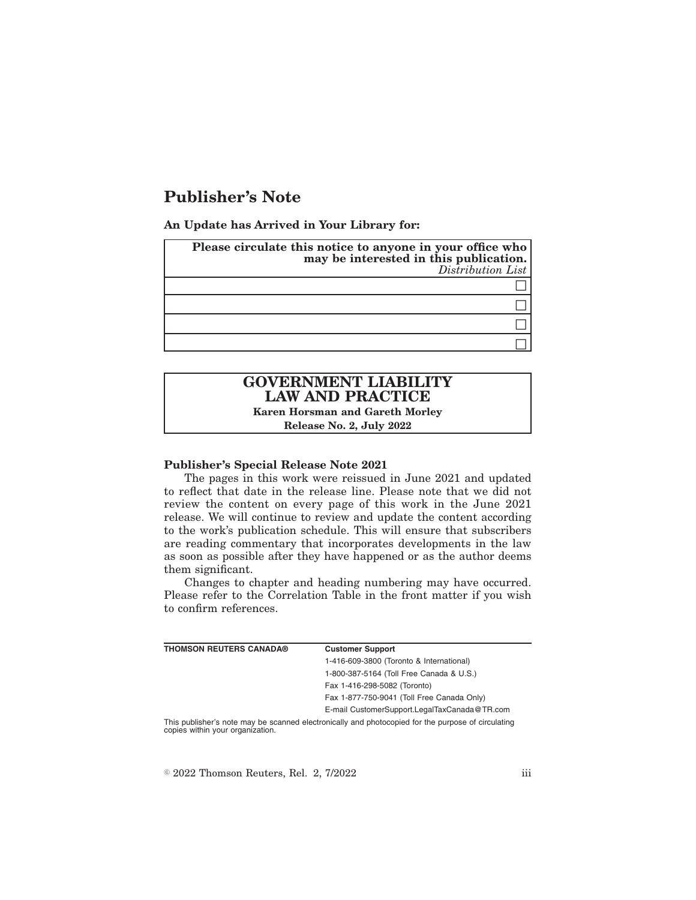# **Publisher's Note**

**An Update has Arrived in Your Library for:**

| Please circulate this notice to anyone in your office who<br>may be interested in this publication.<br>Distribution List |  |
|--------------------------------------------------------------------------------------------------------------------------|--|
|                                                                                                                          |  |
|                                                                                                                          |  |
|                                                                                                                          |  |
|                                                                                                                          |  |

# **GOVERNMENT LIABILITY LAW AND PRACTICE**

**Karen Horsman and Gareth Morley Release No. 2, July 2022**

### **Publisher's Special Release Note 2021**

The pages in this work were reissued in June 2021 and updated to reflect that date in the release line. Please note that we did not review the content on every page of this work in the June 2021 release. We will continue to review and update the content according to the work's publication schedule. This will ensure that subscribers are reading commentary that incorporates developments in the law as soon as possible after they have happened or as the author deems them significant.

Changes to chapter and heading numbering may have occurred. Please refer to the Correlation Table in the front matter if you wish to confirm references.

| <b>THOMSON REUTERS CANADA®</b> | <b>Customer Support</b>                                                                            |
|--------------------------------|----------------------------------------------------------------------------------------------------|
|                                | 1-416-609-3800 (Toronto & International)                                                           |
|                                | 1-800-387-5164 (Toll Free Canada & U.S.)                                                           |
|                                | Fax 1-416-298-5082 (Toronto)                                                                       |
|                                | Fax 1-877-750-9041 (Toll Free Canada Only)                                                         |
|                                | E-mail CustomerSupport.LegalTaxCanada@TR.com                                                       |
|                                | This publisher's note may be seepped electronically and photoconied for the purpose of circulating |

scanned electronically and photocopied for the purpose of circulating copies within your organization.

 $\degree$  2022 Thomson Reuters, Rel. 2, 7/2022 iii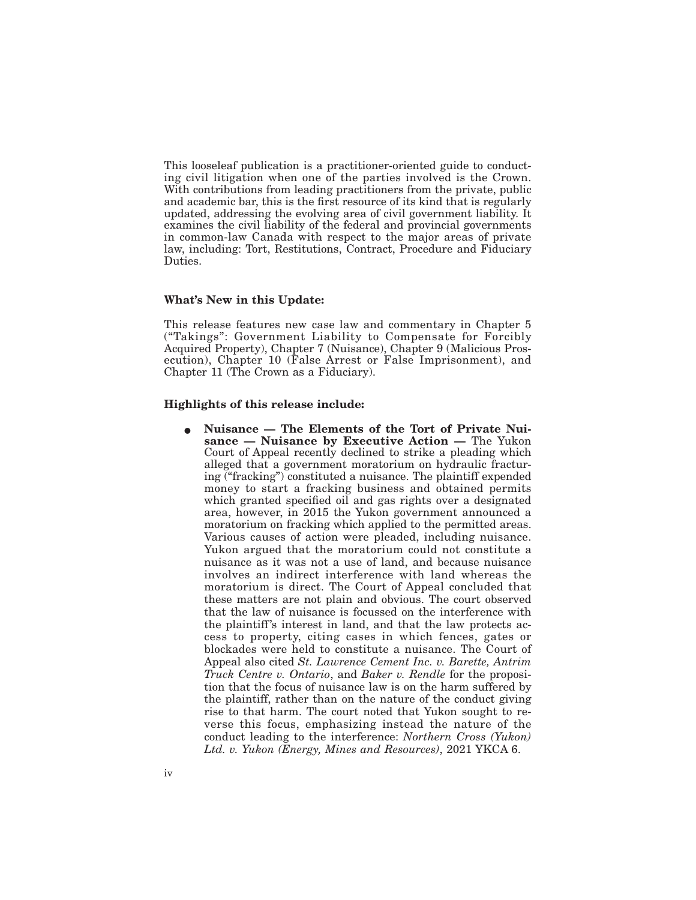This looseleaf publication is a practitioner-oriented guide to conducting civil litigation when one of the parties involved is the Crown. With contributions from leading practitioners from the private, public and academic bar, this is the first resource of its kind that is regularly updated, addressing the evolving area of civil government liability. It examines the civil liability of the federal and provincial governments in common-law Canada with respect to the major areas of private law, including: Tort, Restitutions, Contract, Procedure and Fiduciary Duties.

### **What's New in this Update:**

This release features new case law and commentary in Chapter 5 ("Takings": Government Liability to Compensate for Forcibly Acquired Property), Chapter 7 (Nuisance), Chapter 9 (Malicious Prosecution), Chapter 10 (False Arrest or False Imprisonment), and Chapter 11 (The Crown as a Fiduciary).

#### **Highlights of this release include:**

E **Nuisance — The Elements of the Tort of Private Nuisance — Nuisance by Executive Action —** The Yukon Court of Appeal recently declined to strike a pleading which alleged that a government moratorium on hydraulic fracturing ("fracking") constituted a nuisance. The plaintiff expended money to start a fracking business and obtained permits which granted specified oil and gas rights over a designated area, however, in 2015 the Yukon government announced a moratorium on fracking which applied to the permitted areas. Various causes of action were pleaded, including nuisance. Yukon argued that the moratorium could not constitute a nuisance as it was not a use of land, and because nuisance involves an indirect interference with land whereas the moratorium is direct. The Court of Appeal concluded that these matters are not plain and obvious. The court observed that the law of nuisance is focussed on the interference with the plaintiff's interest in land, and that the law protects access to property, citing cases in which fences, gates or blockades were held to constitute a nuisance. The Court of Appeal also cited *St. Lawrence Cement Inc. v. Barette, Antrim Truck Centre v. Ontario*, and *Baker v. Rendle* for the proposition that the focus of nuisance law is on the harm suffered by the plaintiff, rather than on the nature of the conduct giving rise to that harm. The court noted that Yukon sought to reverse this focus, emphasizing instead the nature of the conduct leading to the interference: *Northern Cross (Yukon) Ltd. v. Yukon (Energy, Mines and Resources)*, 2021 YKCA 6.